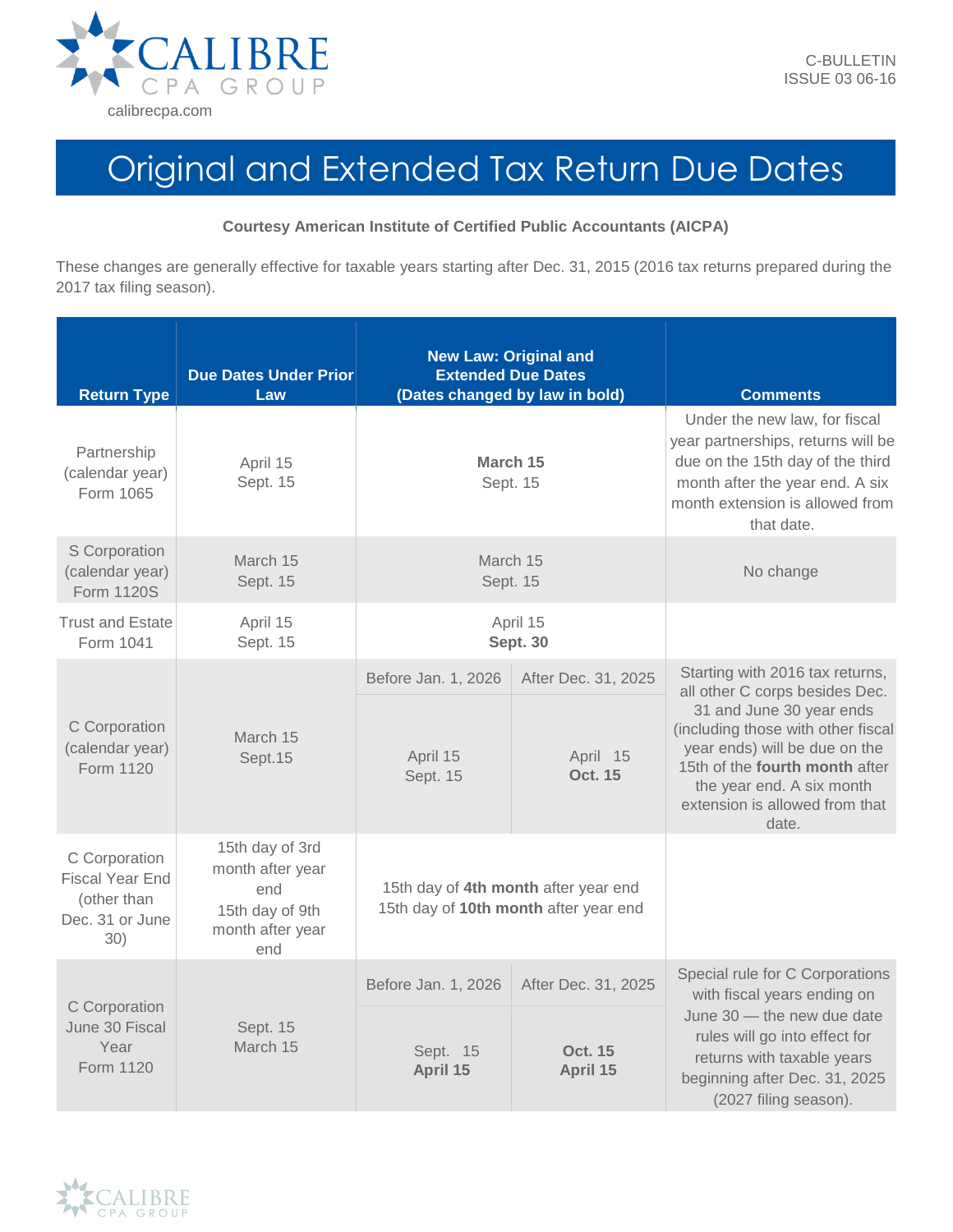

## Original and Extended Tax Return Due Dates

## **Courtesy American Institute of Certified Public Accountants (AICPA)**

These changes are generally effective for taxable years starting after Dec. 31, 2015 (2016 tax returns prepared during the 2017 tax filing season).

| <b>Return Type</b>                                                               | <b>Due Dates Under Prior</b><br>Law                                                      | <b>New Law: Original and</b><br><b>Extended Due Dates</b><br>(Dates changed by law in bold) |                                            | <b>Comments</b>                                                                                                                                                                                                                                                                |
|----------------------------------------------------------------------------------|------------------------------------------------------------------------------------------|---------------------------------------------------------------------------------------------|--------------------------------------------|--------------------------------------------------------------------------------------------------------------------------------------------------------------------------------------------------------------------------------------------------------------------------------|
| Partnership<br>(calendar year)<br>Form 1065                                      | April 15<br>Sept. 15                                                                     | March 15<br>Sept. 15                                                                        |                                            | Under the new law, for fiscal<br>year partnerships, returns will be<br>due on the 15th day of the third<br>month after the year end. A six<br>month extension is allowed from<br>that date.                                                                                    |
| S Corporation<br>(calendar year)<br><b>Form 1120S</b>                            | March 15<br>Sept. 15                                                                     | March 15<br>Sept. 15                                                                        |                                            | No change                                                                                                                                                                                                                                                                      |
| <b>Trust and Estate</b><br>Form 1041                                             | April 15<br>Sept. 15                                                                     | April 15<br><b>Sept. 30</b>                                                                 |                                            |                                                                                                                                                                                                                                                                                |
| C Corporation<br>(calendar year)<br>Form 1120                                    | March 15<br>Sept.15                                                                      | Before Jan. 1, 2026<br>April 15<br>Sept. 15                                                 | After Dec. 31, 2025<br>April 15<br>Oct. 15 | Starting with 2016 tax returns,<br>all other C corps besides Dec.<br>31 and June 30 year ends<br>(including those with other fiscal<br>year ends) will be due on the<br>15th of the fourth month after<br>the year end. A six month<br>extension is allowed from that<br>date. |
| C Corporation<br><b>Fiscal Year End</b><br>(other than<br>Dec. 31 or June<br>30) | 15th day of 3rd<br>month after year<br>end<br>15th day of 9th<br>month after year<br>end | 15th day of 4th month after year end<br>15th day of 10th month after year end               |                                            |                                                                                                                                                                                                                                                                                |
| C Corporation<br>June 30 Fiscal<br>Year<br>Form 1120                             | Sept. 15<br>March 15                                                                     | Before Jan. 1, 2026                                                                         | After Dec. 31, 2025                        | Special rule for C Corporations<br>with fiscal years ending on<br>June 30 - the new due date<br>rules will go into effect for<br>returns with taxable years<br>beginning after Dec. 31, 2025<br>(2027 filing season).                                                          |
|                                                                                  |                                                                                          | Sept. 15<br>April 15                                                                        | Oct. 15<br>April 15                        |                                                                                                                                                                                                                                                                                |

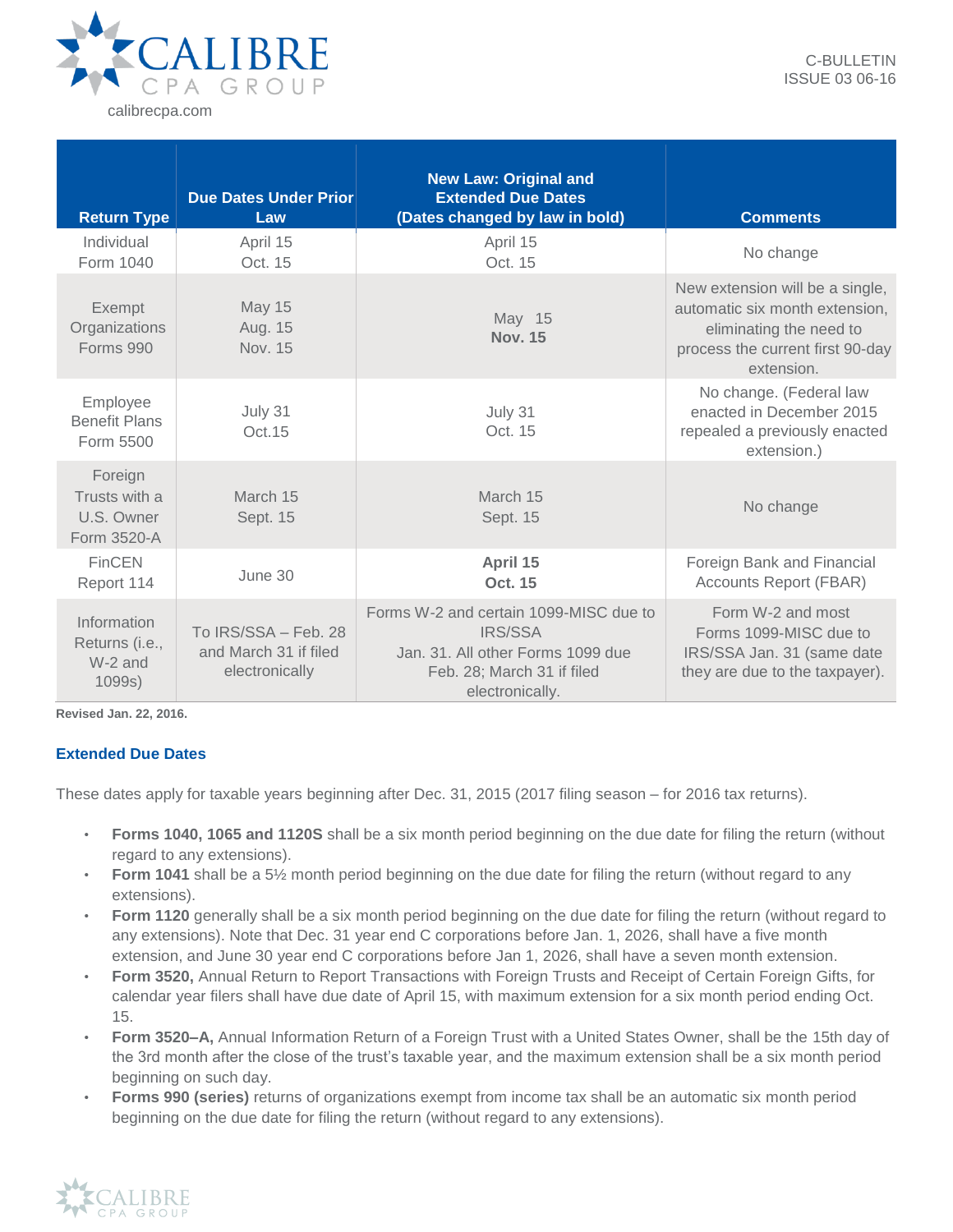

| <b>Return Type</b>                                    | <b>Due Dates Under Prior</b><br>Law                             | <b>New Law: Original and</b><br><b>Extended Due Dates</b><br>(Dates changed by law in bold)                                             | <b>Comments</b>                                                                                                                                |
|-------------------------------------------------------|-----------------------------------------------------------------|-----------------------------------------------------------------------------------------------------------------------------------------|------------------------------------------------------------------------------------------------------------------------------------------------|
| Individual<br>Form 1040                               | April 15<br>Oct. 15                                             | April 15<br>Oct. 15                                                                                                                     | No change                                                                                                                                      |
| Exempt<br>Organizations<br><b>Forms 990</b>           | <b>May 15</b><br>Aug. 15<br><b>Nov. 15</b>                      | May 15<br><b>Nov. 15</b>                                                                                                                | New extension will be a single,<br>automatic six month extension,<br>eliminating the need to<br>process the current first 90-day<br>extension. |
| Employee<br><b>Benefit Plans</b><br>Form 5500         | July 31<br>Oct. 15                                              | July 31<br>Oct. 15                                                                                                                      | No change. (Federal law<br>enacted in December 2015<br>repealed a previously enacted<br>extension.)                                            |
| Foreign<br>Trusts with a<br>U.S. Owner<br>Form 3520-A | March 15<br>Sept. 15                                            | March 15<br>Sept. 15                                                                                                                    | No change                                                                                                                                      |
| <b>FinCEN</b><br>Report 114                           | June 30                                                         | April 15<br>Oct. 15                                                                                                                     | Foreign Bank and Financial<br><b>Accounts Report (FBAR)</b>                                                                                    |
| Information<br>Returns (i.e.,<br>W-2 and<br>1099s)    | To IRS/SSA - Feb. 28<br>and March 31 if filed<br>electronically | Forms W-2 and certain 1099-MISC due to<br>IRS/SSA<br>Jan. 31. All other Forms 1099 due<br>Feb. 28; March 31 if filed<br>electronically. | Form W-2 and most<br>Forms 1099-MISC due to<br>IRS/SSA Jan. 31 (same date<br>they are due to the taxpayer).                                    |

**Revised Jan. 22, 2016.**

## **Extended Due Dates**

These dates apply for taxable years beginning after Dec. 31, 2015 (2017 filing season – for 2016 tax returns).

- **Forms 1040, 1065 and 1120S** shall be a six month period beginning on the due date for filing the return (without regard to any extensions).
- **Form 1041** shall be a 5½ month period beginning on the due date for filing the return (without regard to any extensions).
- **Form 1120** generally shall be a six month period beginning on the due date for filing the return (without regard to any extensions). Note that Dec. 31 year end C corporations before Jan. 1, 2026, shall have a five month extension, and June 30 year end C corporations before Jan 1, 2026, shall have a seven month extension.
- **Form 3520,** Annual Return to Report Transactions with Foreign Trusts and Receipt of Certain Foreign Gifts, for calendar year filers shall have due date of April 15, with maximum extension for a six month period ending Oct. 15.
- **Form 3520–A,** Annual Information Return of a Foreign Trust with a United States Owner, shall be the 15th day of the 3rd month after the close of the trust's taxable year, and the maximum extension shall be a six month period beginning on such day.
- **Forms 990 (series)** returns of organizations exempt from income tax shall be an automatic six month period beginning on the due date for filing the return (without regard to any extensions).